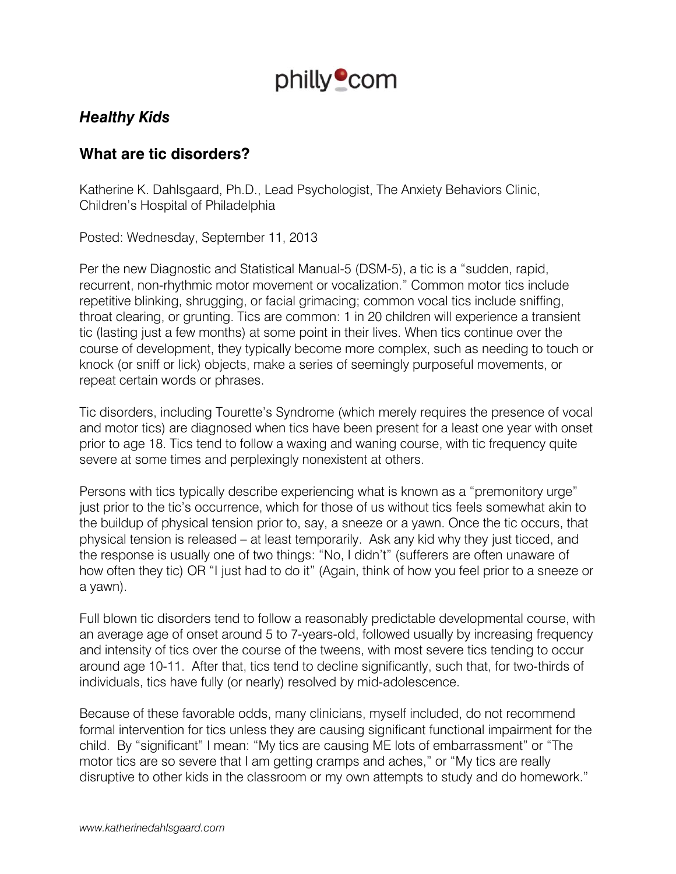

# *Healthy Kids*

# **What are tic disorders?**

Katherine K. Dahlsgaard, Ph.D., Lead Psychologist, The Anxiety Behaviors Clinic, Children's Hospital of Philadelphia

Posted: Wednesday, September 11, 2013

Per the new Diagnostic and Statistical Manual-5 (DSM-5), a tic is a "sudden, rapid, recurrent, non-rhythmic motor movement or vocalization." Common motor tics include repetitive blinking, shrugging, or facial grimacing; common vocal tics include sniffing, throat clearing, or grunting. Tics are common: 1 in 20 children will experience a transient tic (lasting just a few months) at some point in their lives. When tics continue over the course of development, they typically become more complex, such as needing to touch or knock (or sniff or lick) objects, make a series of seemingly purposeful movements, or repeat certain words or phrases.

Tic disorders, including Tourette's Syndrome (which merely requires the presence of vocal and motor tics) are diagnosed when tics have been present for a least one year with onset prior to age 18. Tics tend to follow a waxing and waning course, with tic frequency quite severe at some times and perplexingly nonexistent at others.

Persons with tics typically describe experiencing what is known as a "premonitory urge" just prior to the tic's occurrence, which for those of us without tics feels somewhat akin to the buildup of physical tension prior to, say, a sneeze or a yawn. Once the tic occurs, that physical tension is released – at least temporarily. Ask any kid why they just ticced, and the response is usually one of two things: "No, I didn't" (sufferers are often unaware of how often they tic) OR "I just had to do it" (Again, think of how you feel prior to a sneeze or a yawn).

Full blown tic disorders tend to follow a reasonably predictable developmental course, with an average age of onset around 5 to 7-years-old, followed usually by increasing frequency and intensity of tics over the course of the tweens, with most severe tics tending to occur around age 10-11. After that, tics tend to decline significantly, such that, for two-thirds of individuals, tics have fully (or nearly) resolved by mid-adolescence.

Because of these favorable odds, many clinicians, myself included, do not recommend formal intervention for tics unless they are causing significant functional impairment for the child. By "significant" I mean: "My tics are causing ME lots of embarrassment" or "The motor tics are so severe that I am getting cramps and aches," or "My tics are really disruptive to other kids in the classroom or my own attempts to study and do homework."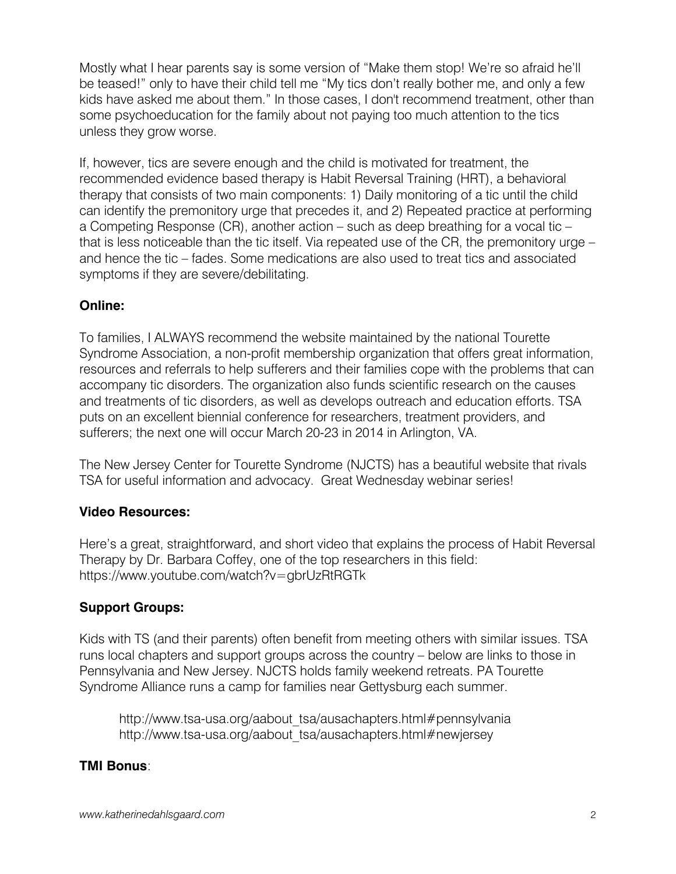Mostly what I hear parents say is some version of "Make them stop! We're so afraid he'll be teased!" only to have their child tell me "My tics don't really bother me, and only a few kids have asked me about them." In those cases, I don't recommend treatment, other than some psychoeducation for the family about not paying too much attention to the tics unless they grow worse.

If, however, tics are severe enough and the child is motivated for treatment, the recommended evidence based therapy is Habit Reversal Training (HRT), a behavioral therapy that consists of two main components: 1) Daily monitoring of a tic until the child can identify the premonitory urge that precedes it, and 2) Repeated practice at performing a Competing Response (CR), another action – such as deep breathing for a vocal tic – that is less noticeable than the tic itself. Via repeated use of the CR, the premonitory urge – and hence the tic – fades. Some medications are also used to treat tics and associated symptoms if they are severe/debilitating.

### **Online:**

To families, I ALWAYS recommend the website maintained by the national Tourette Syndrome Association, a non-profit membership organization that offers great information, resources and referrals to help sufferers and their families cope with the problems that can accompany tic disorders. The organization also funds scientific research on the causes and treatments of tic disorders, as well as develops outreach and education efforts. TSA puts on an excellent biennial conference for researchers, treatment providers, and sufferers; the next one will occur March 20-23 in 2014 in Arlington, VA.

The New Jersey Center for Tourette Syndrome (NJCTS) has a beautiful website that rivals TSA for useful information and advocacy. Great Wednesday webinar series!

### **Video Resources:**

Here's a great, straightforward, and short video that explains the process of Habit Reversal Therapy by Dr. Barbara Coffey, one of the top researchers in this field: https://www.youtube.com/watch?v=gbrUzRtRGTk

### **Support Groups:**

Kids with TS (and their parents) often benefit from meeting others with similar issues. TSA runs local chapters and support groups across the country – below are links to those in Pennsylvania and New Jersey. NJCTS holds family weekend retreats. PA Tourette Syndrome Alliance runs a camp for families near Gettysburg each summer.

http://www.tsa-usa.org/aabout\_tsa/ausachapters.html#pennsylvania http://www.tsa-usa.org/aabout\_tsa/ausachapters.html#newjersey

### **TMI Bonus**: